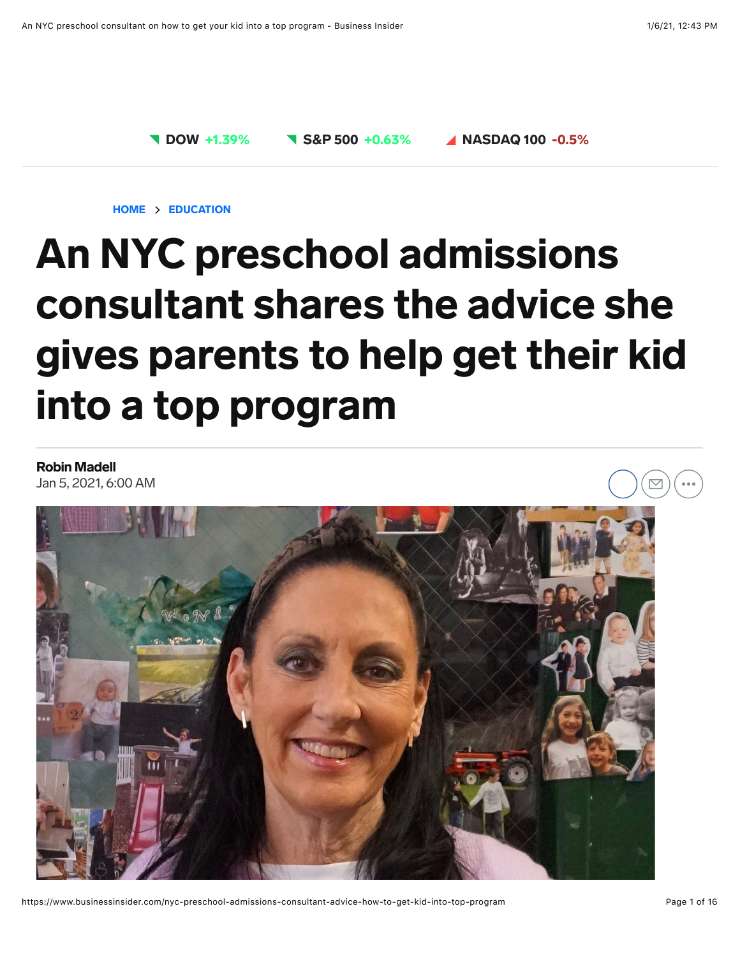

[HOME](https://www.businessinsider.com/) > [EDUCATION](https://www.businessinsider.com/education)

# An NYC preschool admissions consultant shares the advice she gives parents to help get their kid into a top program

[Robin Madell](https://www.businessinsider.com/author/robin-madell)

Jan 5, 2021, 6:00 AM



https://www.businessinsider.com/nyc-preschool-admissions-consultant-advice-how-to-get-kid-into-top-program Page 1 of 16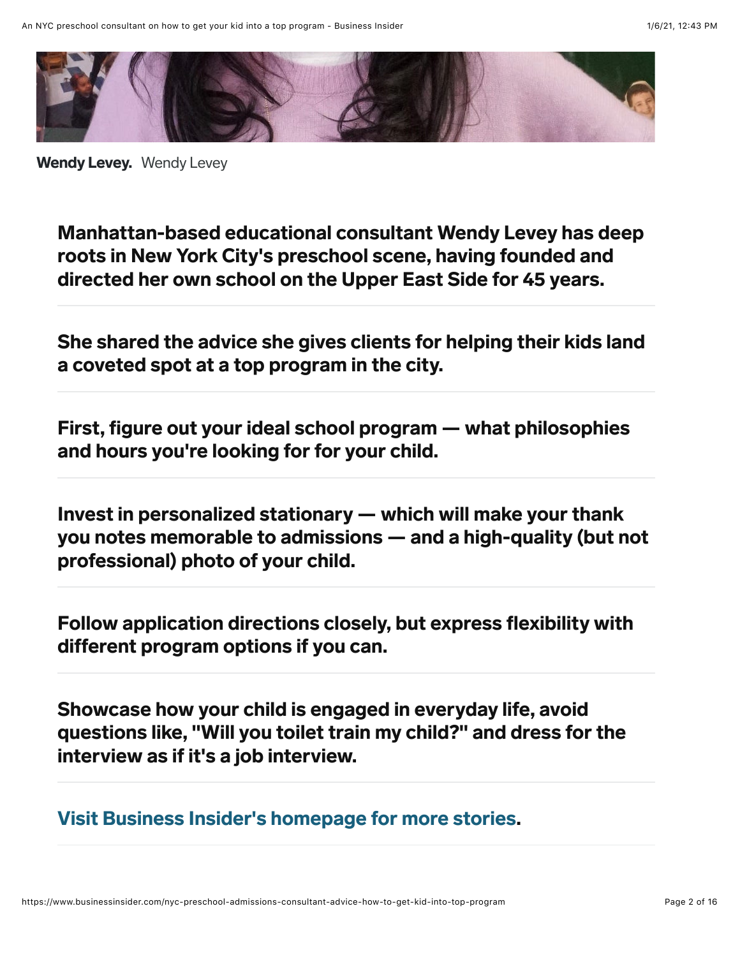

Wendy Levey. Wendy Levey

Manhattan-based educational consultant Wendy Levey has deep roots in New York City's preschool scene, having founded and directed her own school on the Upper East Side for 45 years.

She shared the advice she gives clients for helping their kids land a coveted spot at a top program in the city.

First, figure out your ideal school program — what philosophies and hours you're looking for for your child.

Invest in personalized stationary — which will make your thank you notes memorable to admissions — and a high-quality (but not professional) photo of your child.

Follow application directions closely, but express flexibility with different program options if you can.

Showcase how your child is engaged in everyday life, avoid questions like, "Will you toilet train my child?" and dress for the interview as if it's a job interview.

[Visit Business Insider's homepage for more stories](https://www.businessinsider.com/?hprecirc-bullet).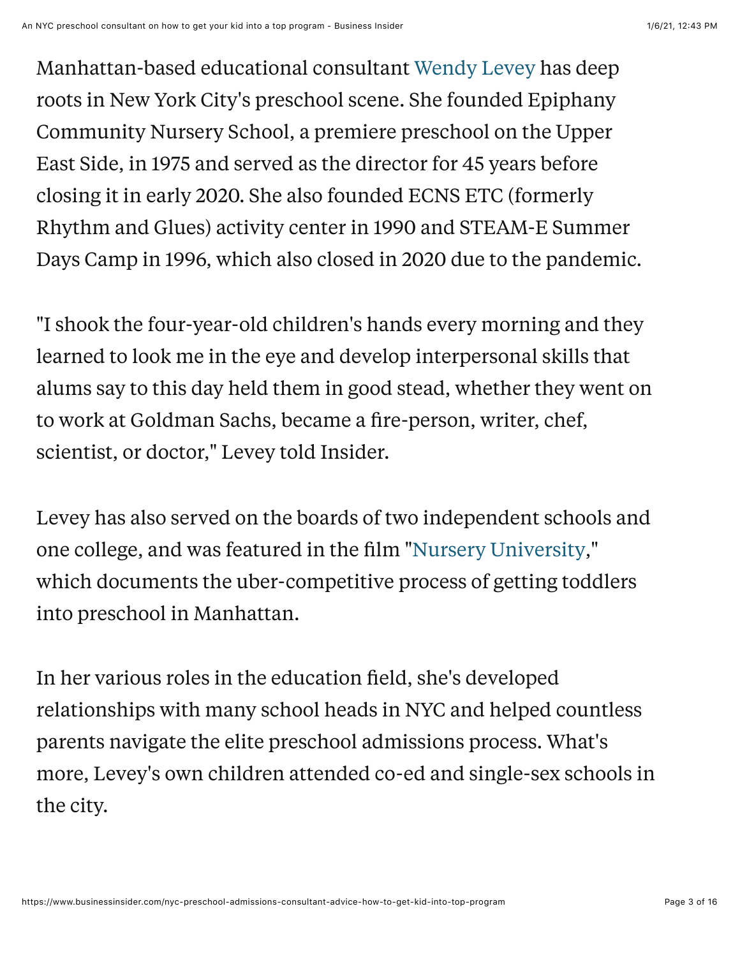Manhattan-based educational consultant [Wendy Levey](https://www.wendylevey.com/) has deep roots in New York City's preschool scene. She founded Epiphany Community Nursery School, a premiere preschool on the Upper East Side, in 1975 and served as the director for 45 years before closing it in early 2020. She also founded ECNS ETC (formerly Rhythm and Glues) activity center in 1990 and STEAM-E Summer Days Camp in 1996, which also closed in 2020 due to the pandemic.

"I shook the four-year-old children's hands every morning and they learned to look me in the eye and develop interpersonal skills that alums say to this day held them in good stead, whether they went on to work at Goldman Sachs, became a fire-person, writer, chef, scientist, or doctor," Levey told Insider.

Levey has also served on the boards of two independent schools and one college, and was featured in the film ["Nursery University,](https://www.youtube.com/watch?v=azjaL-OCoNo)" which documents the uber-competitive process of getting toddlers into preschool in Manhattan.

In her various roles in the education field, she's developed relationships with many school heads in NYC and helped countless parents navigate the elite preschool admissions process. What's more, Levey's own children attended co-ed and single-sex schools in the city.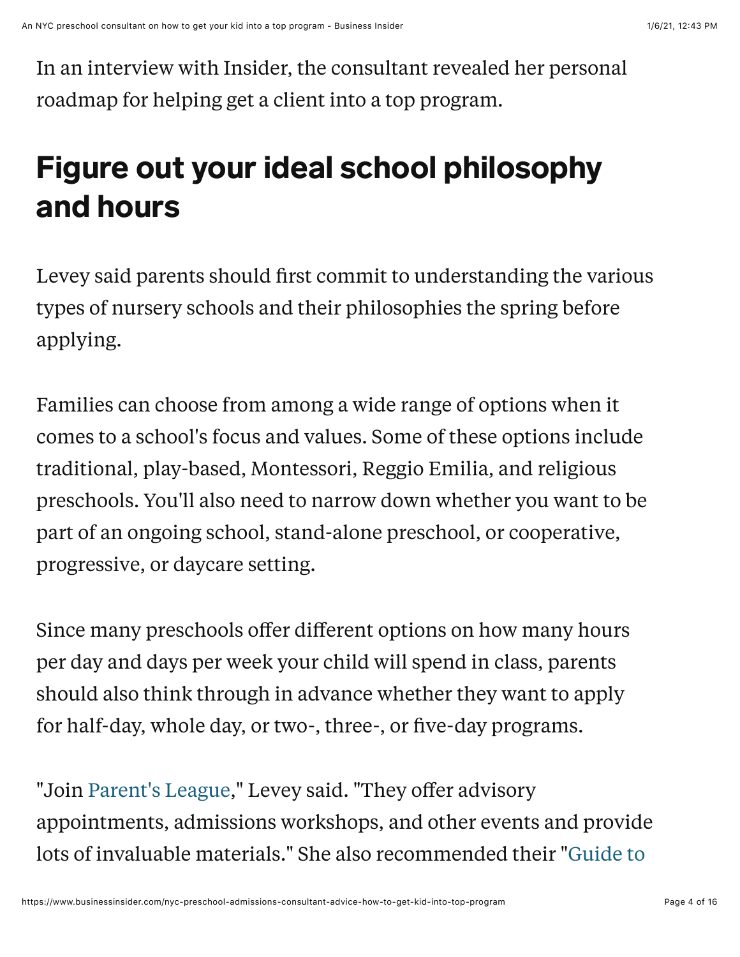In an interview with Insider, the consultant revealed her personal roadmap for helping get a client into a top program.

## Figure out your ideal school philosophy and hours

Levey said parents should first commit to understanding the various types of nursery schools and their philosophies the spring before applying.

Families can choose from among a wide range of options when it comes to a school's focus and values. Some of these options include traditional, play-based, Montessori, Reggio Emilia, and religious preschools. You'll also need to narrow down whether you want to be part of an ongoing school, stand-alone preschool, or cooperative, progressive, or daycare setting.

Since many preschools offer different options on how many hours per day and days per week your child will spend in class, parents should also think through in advance whether they want to apply for half-day, whole day, or two-, three-, or five-day programs.

"Join [Parent's League,](https://www.parentsleague.org/)" Levey said. "They offer advisory appointments, admissions workshops, and other events and provide [lots of invaluable materials." She also recommended their "Guide to](https://www.parentsleague.org/guide-to-nyc-preschools)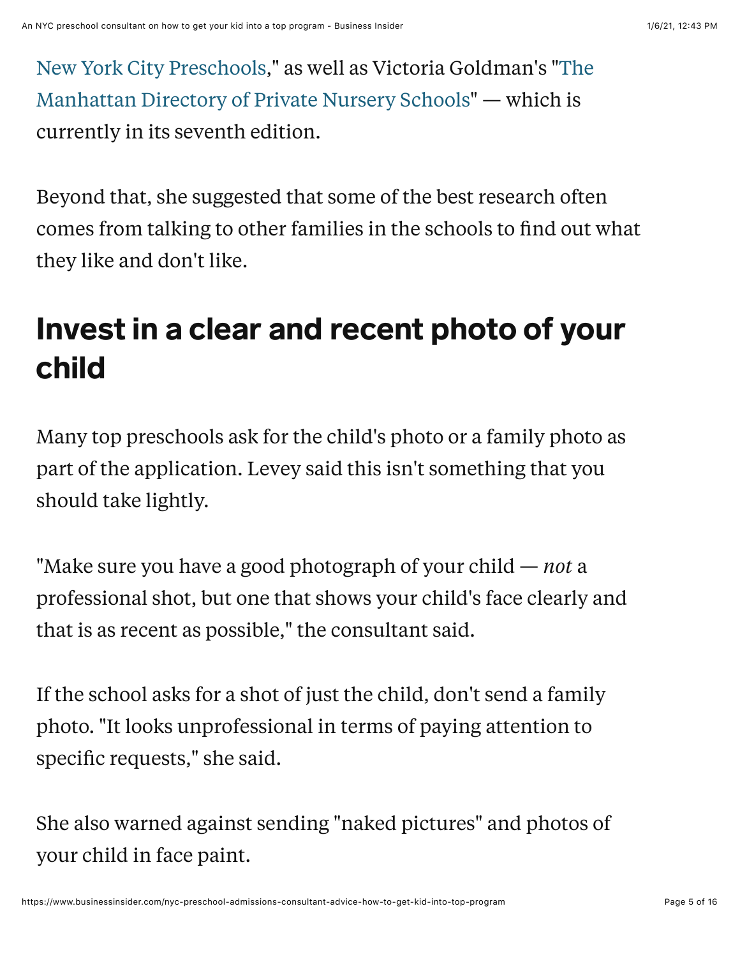[New York City Preschools," as well as Victoria Goldman's "The](https://www.parentsleague.org/guide-to-nyc-preschools) Manhattan Directory of Private Nursery Schools" — which is currently in its seventh edition.

Beyond that, she suggested that some of the best research often comes from talking to other families in the schools to find out what they like and don't like.

#### Invest in a clear and recent photo of your child

Many top preschools ask for the child's photo or a family photo as part of the application. Levey said this isn't something that you should take lightly.

"Make sure you have a good photograph of your child — *not* a professional shot, but one that shows your child's face clearly and that is as recent as possible," the consultant said.

If the school asks for a shot of just the child, don't send a family photo. "It looks unprofessional in terms of paying attention to specific requests," she said.

She also warned against sending "naked pictures" and photos of your child in face paint.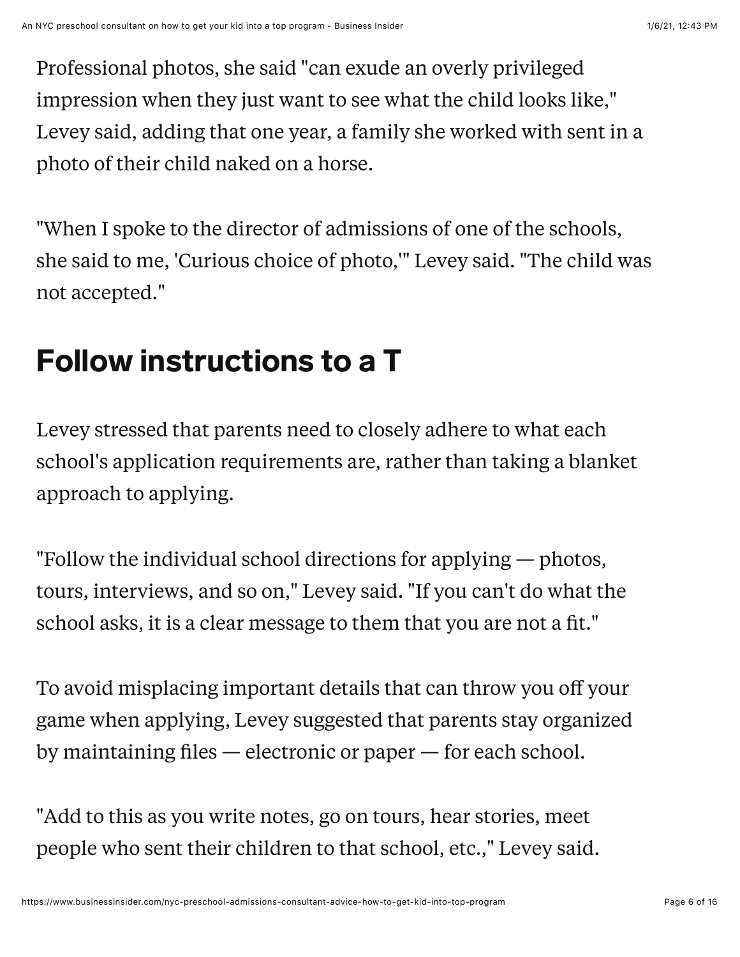Professional photos, she said "can exude an overly privileged impression when they just want to see what the child looks like," Levey said, adding that one year, a family she worked with sent in a photo of their child naked on a horse.

"When I spoke to the director of admissions of one of the schools, she said to me, 'Curious choice of photo,'" Levey said. "The child was not accepted."

## Follow instructions to a T

Levey stressed that parents need to closely adhere to what each school's application requirements are, rather than taking a blanket approach to applying.

"Follow the individual school directions for applying — photos, tours, interviews, and so on," Levey said. "If you can't do what the school asks, it is a clear message to them that you are not a fit."

To avoid misplacing important details that can throw you off your game when applying, Levey suggested that parents stay organized by maintaining files  $-$  electronic or paper  $-$  for each school.

"Add to this as you write notes, go on tours, hear stories, meet people who sent their children to that school, etc.," Levey said.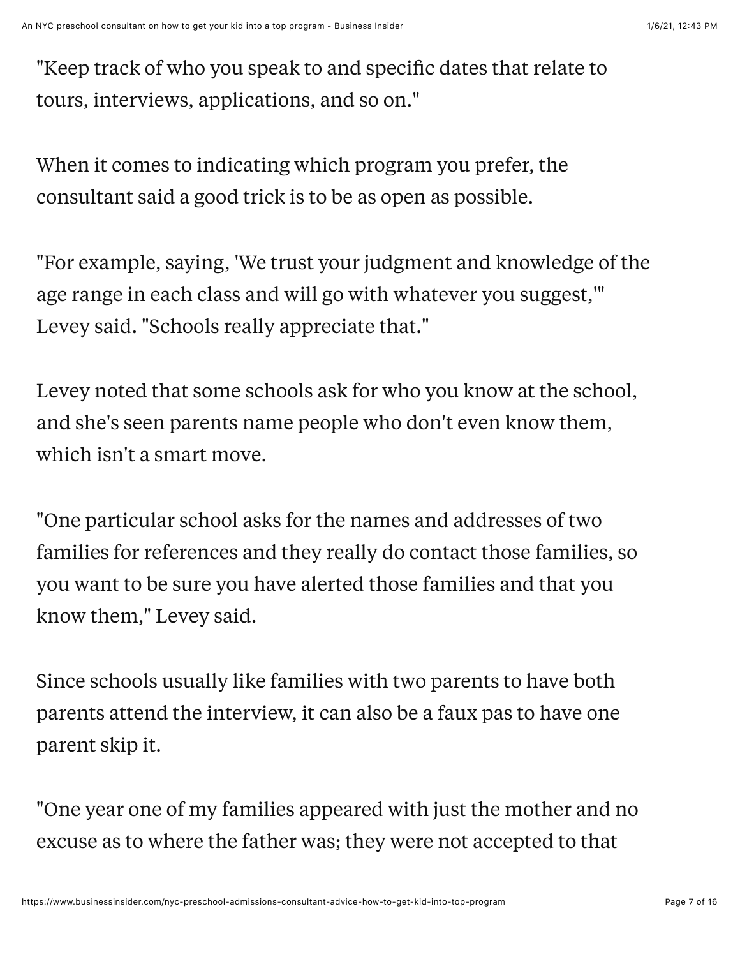"Keep track of who you speak to and specific dates that relate to tours, interviews, applications, and so on."

When it comes to indicating which program you prefer, the consultant said a good trick is to be as open as possible.

"For example, saying, 'We trust your judgment and knowledge of the age range in each class and will go with whatever you suggest,'" Levey said. "Schools really appreciate that."

Levey noted that some schools ask for who you know at the school, and she's seen parents name people who don't even know them, which isn't a smart move.

"One particular school asks for the names and addresses of two families for references and they really do contact those families, so you want to be sure you have alerted those families and that you know them," Levey said.

Since schools usually like families with two parents to have both parents attend the interview, it can also be a faux pas to have one parent skip it.

"One year one of my families appeared with just the mother and no excuse as to where the father was; they were not accepted to that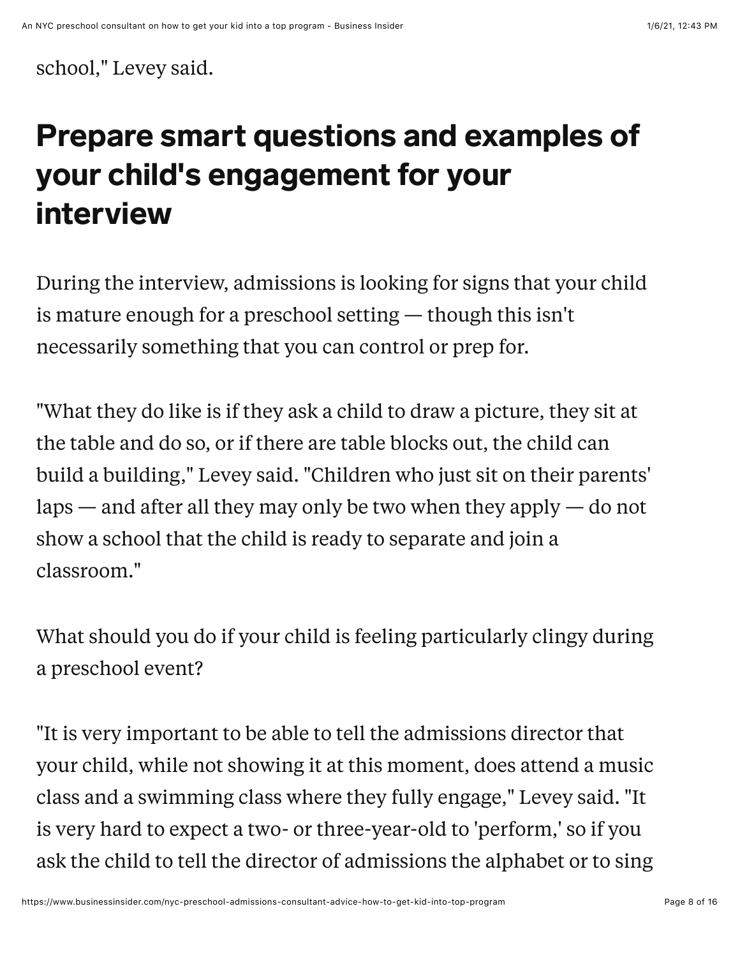school," Levey said.

## Prepare smart questions and examples of your child's engagement for your interview

During the interview, admissions is looking for signs that your child is mature enough for a preschool setting — though this isn't necessarily something that you can control or prep for.

"What they do like is if they ask a child to draw a picture, they sit at the table and do so, or if there are table blocks out, the child can build a building," Levey said. "Children who just sit on their parents' laps — and after all they may only be two when they apply — do not show a school that the child is ready to separate and join a classroom."

What should you do if your child is feeling particularly clingy during a preschool event?

"It is very important to be able to tell the admissions director that your child, while not showing it at this moment, does attend a music class and a swimming class where they fully engage," Levey said. "It is very hard to expect a two- or three-year-old to 'perform,' so if you ask the child to tell the director of admissions the alphabet or to sing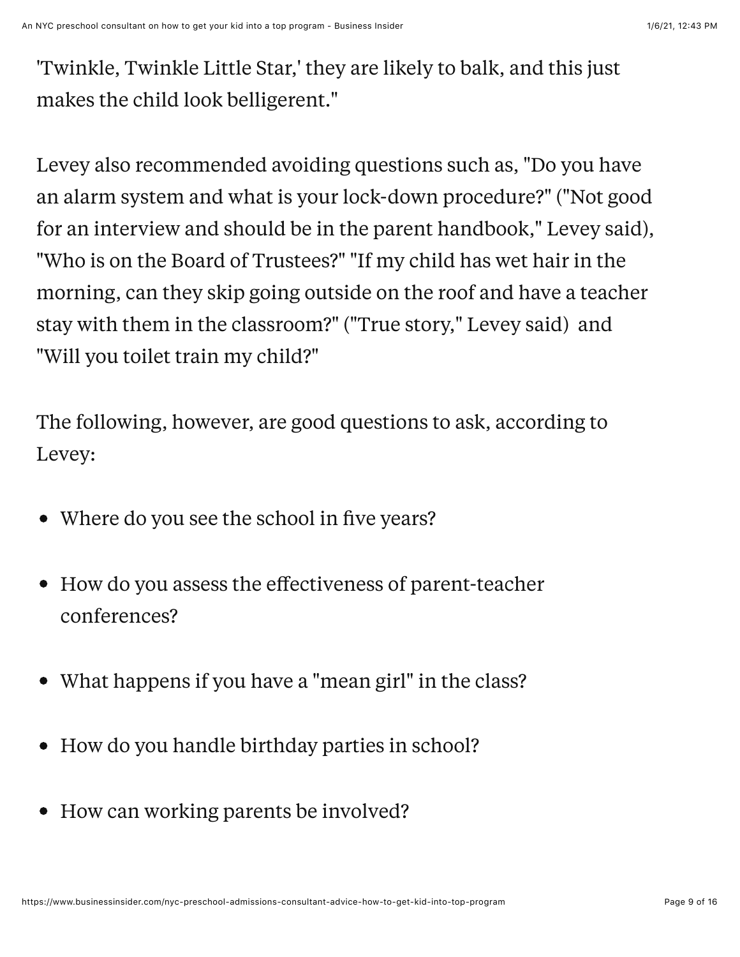'Twinkle, Twinkle Little Star,' they are likely to balk, and this just makes the child look belligerent."

Levey also recommended avoiding questions such as, "Do you have an alarm system and what is your lock-down procedure?" ("Not good for an interview and should be in the parent handbook," Levey said), "Who is on the Board of Trustees?" "If my child has wet hair in the morning, can they skip going outside on the roof and have a teacher stay with them in the classroom?" ("True story," Levey said) and "Will you toilet train my child?"

The following, however, are good questions to ask, according to Levey:

- Where do you see the school in five years?
- How do you assess the effectiveness of parent-teacher  $\bullet$ conferences?
- What happens if you have a "mean girl" in the class?
- How do you handle birthday parties in school?
- How can working parents be involved?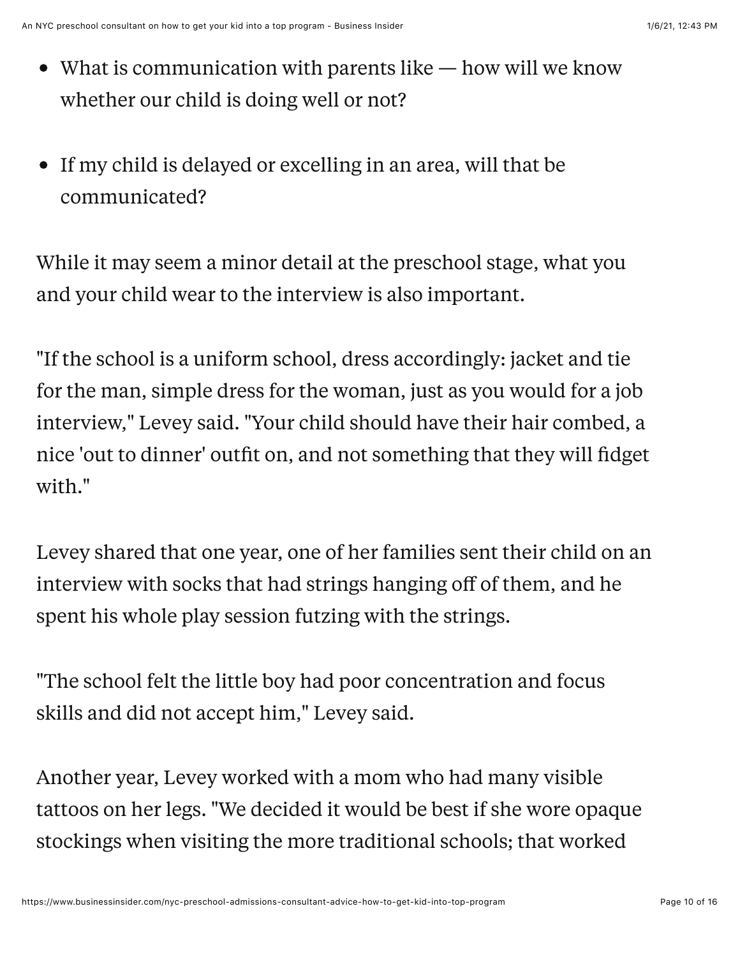- What is communication with parents like how will we know whether our child is doing well or not?
- If my child is delayed or excelling in an area, will that be communicated?

While it may seem a minor detail at the preschool stage, what you and your child wear to the interview is also important.

"If the school is a uniform school, dress accordingly: jacket and tie for the man, simple dress for the woman, just as you would for a job interview," Levey said. "Your child should have their hair combed, a nice 'out to dinner' outfit on, and not something that they will fidget with."

Levey shared that one year, one of her families sent their child on an interview with socks that had strings hanging off of them, and he spent his whole play session futzing with the strings.

"The school felt the little boy had poor concentration and focus skills and did not accept him," Levey said.

Another year, Levey worked with a mom who had many visible tattoos on her legs. "We decided it would be best if she wore opaque stockings when visiting the more traditional schools; that worked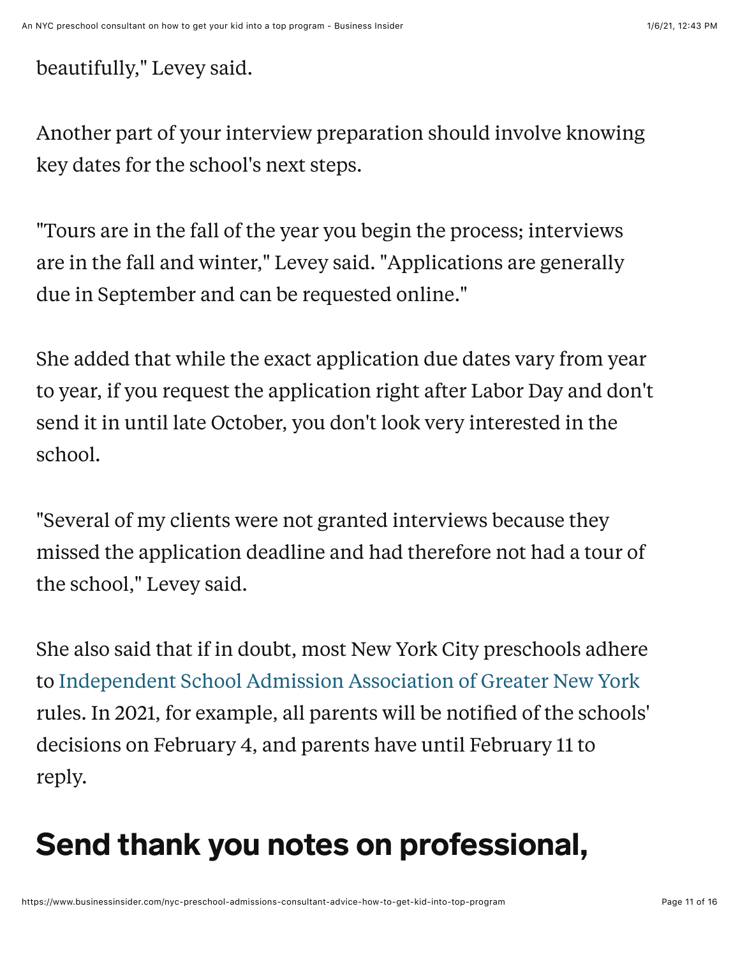beautifully," Levey said.

Another part of your interview preparation should involve knowing key dates for the school's next steps.

"Tours are in the fall of the year you begin the process; interviews are in the fall and winter," Levey said. "Applications are generally due in September and can be requested online."

She added that while the exact application due dates vary from year to year, if you request the application right after Labor Day and don't send it in until late October, you don't look very interested in the school.

"Several of my clients were not granted interviews because they missed the application deadline and had therefore not had a tour of the school," Levey said.

She also said that if in doubt, most New York City preschools adhere to [Independent School Admission Association of Greater New York](https://www.isaagny.org/) rules. In 2021, for example, all parents will be notified of the schools' decisions on February 4, and parents have until February 11 to reply.

## Send thank you notes on professional,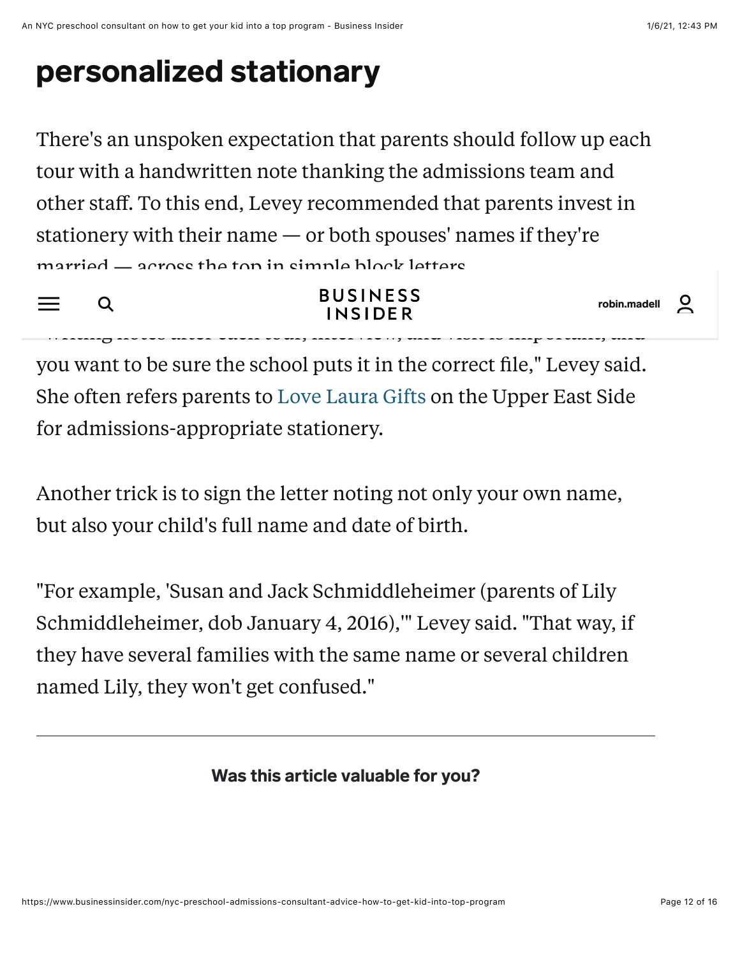## personalized stationary

There's an unspoken expectation that parents should follow up each tour with a handwritten note thanking the admissions team and other staff. To this end, Levey recommended that parents invest in stationery with their name — or both spouses' names if they're married — across the top in simple block letters.

 $Q$  $=$   $-$ 

**BUSINESS INSIDER** 

 $\overline{a}$ robin.madell

you want to be sure the school puts it in the correct file," Levey said. She often refers parents to [Love Laura Gifts](https://lovelauragifts.com/) on the Upper East Side for admissions-appropriate stationery.

 $m$ iting notes after each tour, interview, interview, and visit is important, and

Another trick is to sign the letter noting not only your own name, but also your child's full name and date of birth.

"For example, 'Susan and Jack Schmiddleheimer (parents of Lily Schmiddleheimer, dob January 4, 2016),'" Levey said. "That way, if they have several families with the same name or several children named Lily, they won't get confused."

Was this article valuable for you?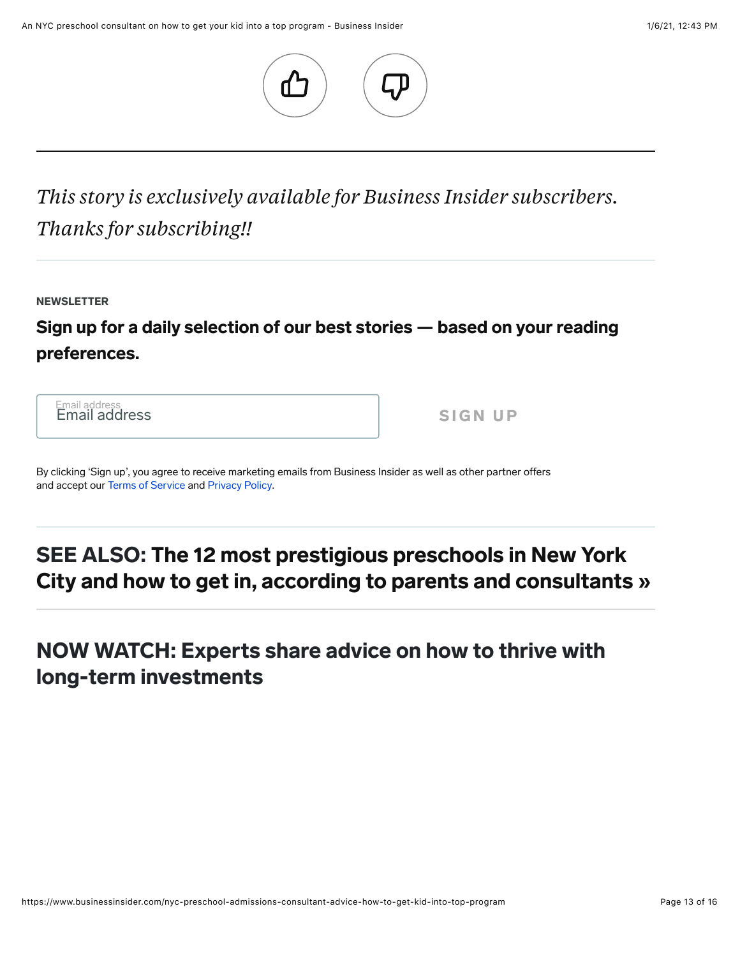

*This story is exclusively available for Business Insider subscribers. Thanks for subscribing!!* Additional comments

**NEWSLETTER** 

#### Sign up for a daily selection of our best stories — based on your reading preferences.

Email address Email address SIGN UP

By clicking 'Sign up', you agree to receive marketing emails from Business Insider as well as other partner offers and accept our [Terms of Service](https://www.businessinsider.com/terms) and [Privacy Policy](https://www.businessinsider.com/privacy-policy).

#### SEE ALSO: The 12 most prestigious preschools in New York [City and how to get in, according to parents and consultants »](https://www.businessinsider.com/most-prestigious-private-preschools-nyc-how-to-get-in-parents-consultants)

#### NOW WATCH: Experts share advice on how to thrive with long-term investments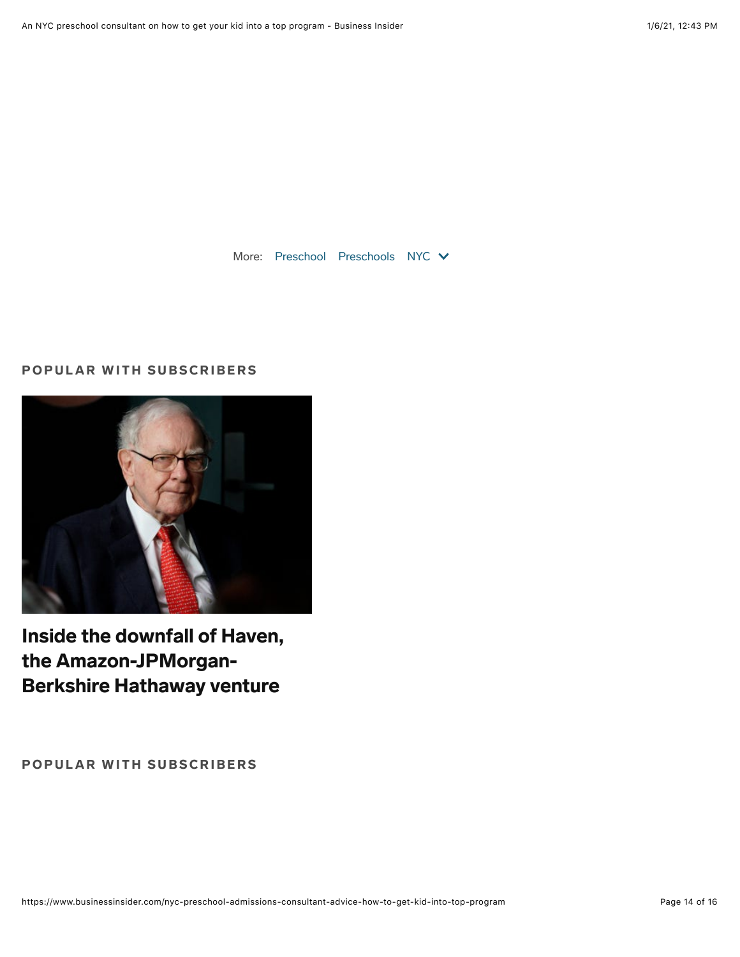More: [Preschool](https://www.businessinsider.com/category/preschool) [Preschools](https://www.businessinsider.com/category/preschools) [NYC](https://www.businessinsider.com/category/nyc) V

#### POPULAR WITH SUBSCRIBERS



[Inside the downfall of Haven,](https://www.businessinsider.com/inside-haven-how-the-amazon-jpmorgan-berkshire-hathaway-venture-flopped-2021-1?r=rr) the Amazon-JPMorgan-Berkshire Hathaway venture

POPULAR WITH SUBSCRIBERS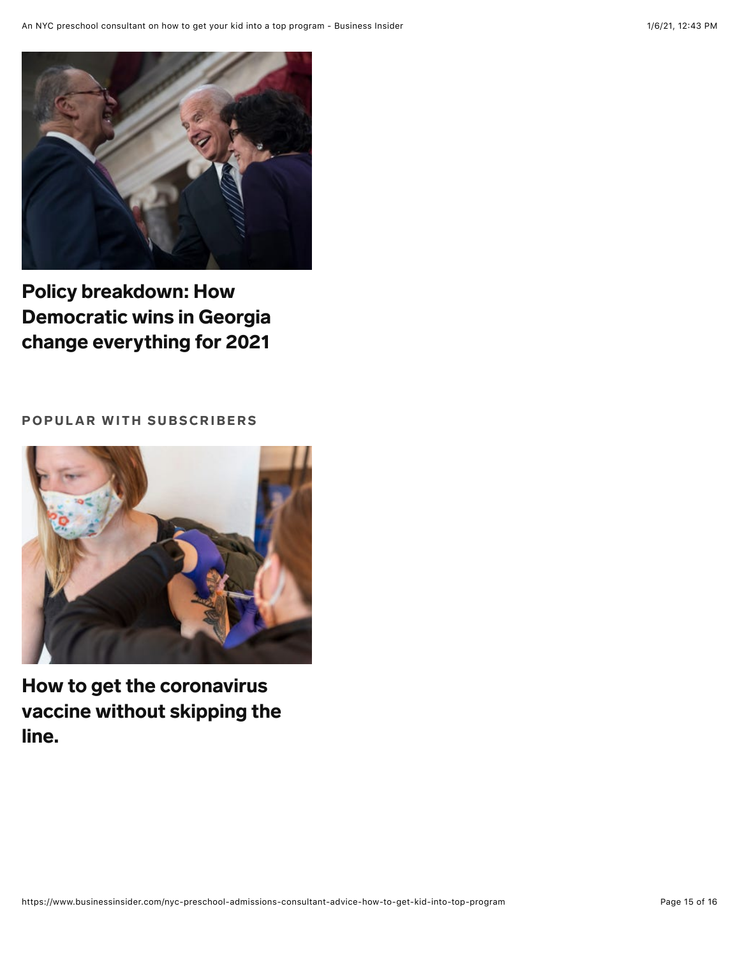

Policy breakdown: How [Democratic wins in Georgia](https://www.businessinsider.com/democrat-majority-policy-priorities-senate-house-biden-warnock-ossoff-georgia-2021-1?r=rr) change everything for 2021

#### POPULAR WITH SUBSCRIBERS



How to get the coronavirus [vaccine without skipping the](https://www.businessinsider.com/how-to-get-coronavirus-vaccine-without-skipping-line-2021-1?r=rr) line.